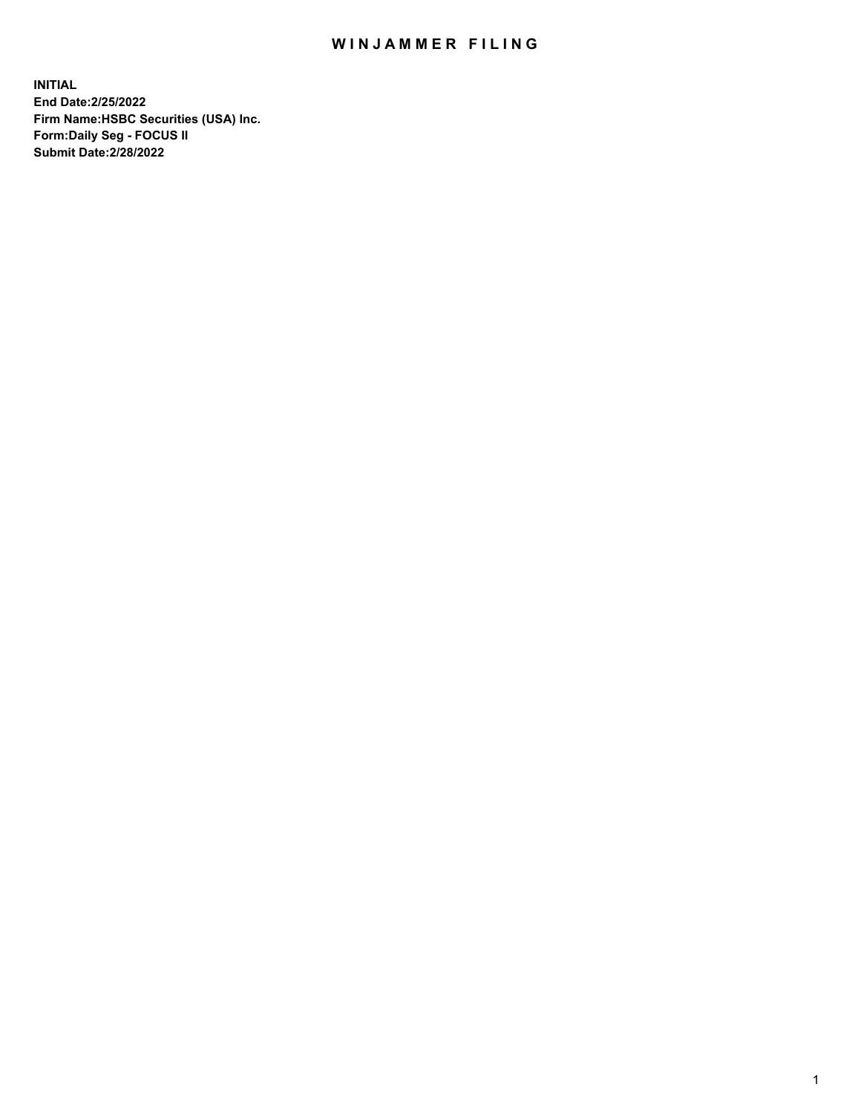## WIN JAMMER FILING

**INITIAL End Date:2/25/2022 Firm Name:HSBC Securities (USA) Inc. Form:Daily Seg - FOCUS II Submit Date:2/28/2022**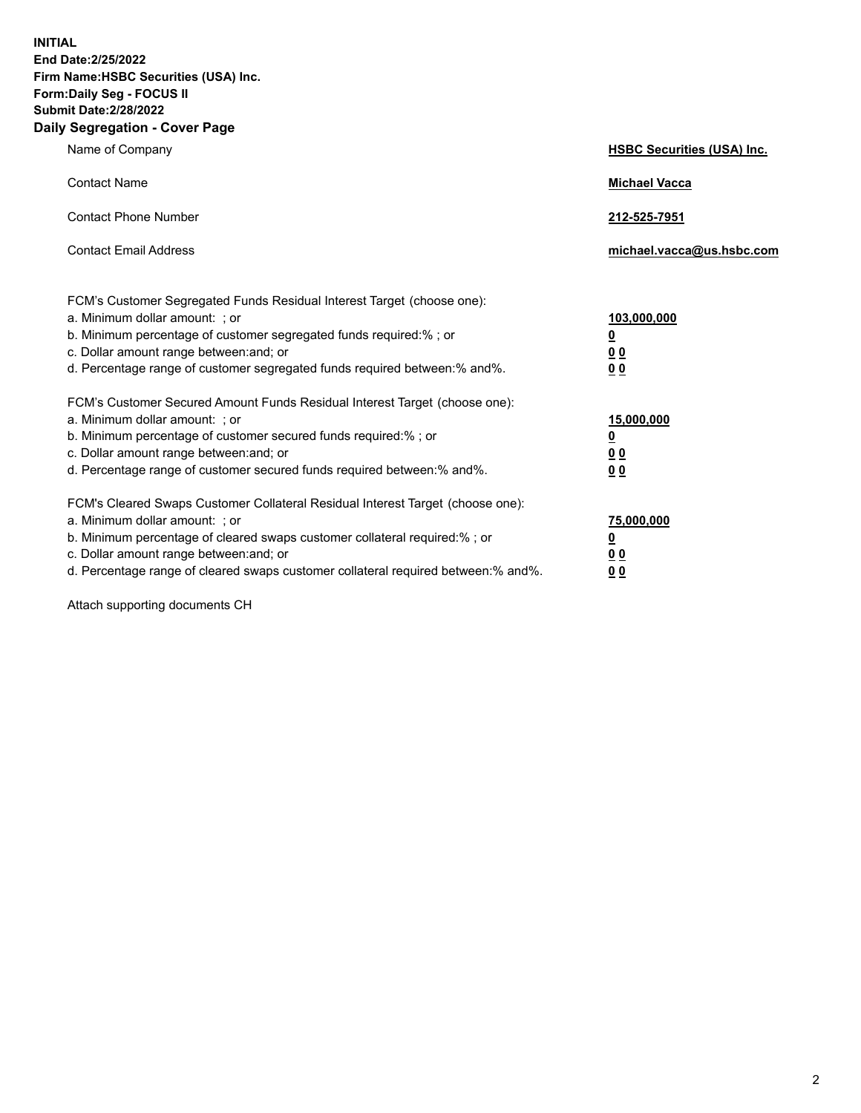**INITIAL End Date:2/25/2022 Firm Name:HSBC Securities (USA) Inc. Form:Daily Seg - FOCUS II Submit Date:2/28/2022 Daily Segregation - Cover Page**

| Name of Company                                                                                                                                                                                                                                                                                                                | <b>HSBC Securities (USA) Inc.</b>                          |
|--------------------------------------------------------------------------------------------------------------------------------------------------------------------------------------------------------------------------------------------------------------------------------------------------------------------------------|------------------------------------------------------------|
| <b>Contact Name</b>                                                                                                                                                                                                                                                                                                            | <b>Michael Vacca</b>                                       |
| <b>Contact Phone Number</b>                                                                                                                                                                                                                                                                                                    | 212-525-7951                                               |
| <b>Contact Email Address</b>                                                                                                                                                                                                                                                                                                   | michael.vacca@us.hsbc.com                                  |
| FCM's Customer Segregated Funds Residual Interest Target (choose one):<br>a. Minimum dollar amount: ; or<br>b. Minimum percentage of customer segregated funds required:%; or<br>c. Dollar amount range between: and; or<br>d. Percentage range of customer segregated funds required between: % and %.                        | 103,000,000<br><u>0</u><br>00<br>0 <sub>0</sub>            |
| FCM's Customer Secured Amount Funds Residual Interest Target (choose one):<br>a. Minimum dollar amount: ; or<br>b. Minimum percentage of customer secured funds required:% ; or<br>c. Dollar amount range between: and; or<br>d. Percentage range of customer secured funds required between:% and%.                           | 15,000,000<br><u>0</u><br>0 <sub>0</sub><br>0 <sub>0</sub> |
| FCM's Cleared Swaps Customer Collateral Residual Interest Target (choose one):<br>a. Minimum dollar amount: ; or<br>b. Minimum percentage of cleared swaps customer collateral required:% ; or<br>c. Dollar amount range between: and; or<br>d. Percentage range of cleared swaps customer collateral required between:% and%. | 75,000,000<br><u>0</u><br>00<br>00                         |

Attach supporting documents CH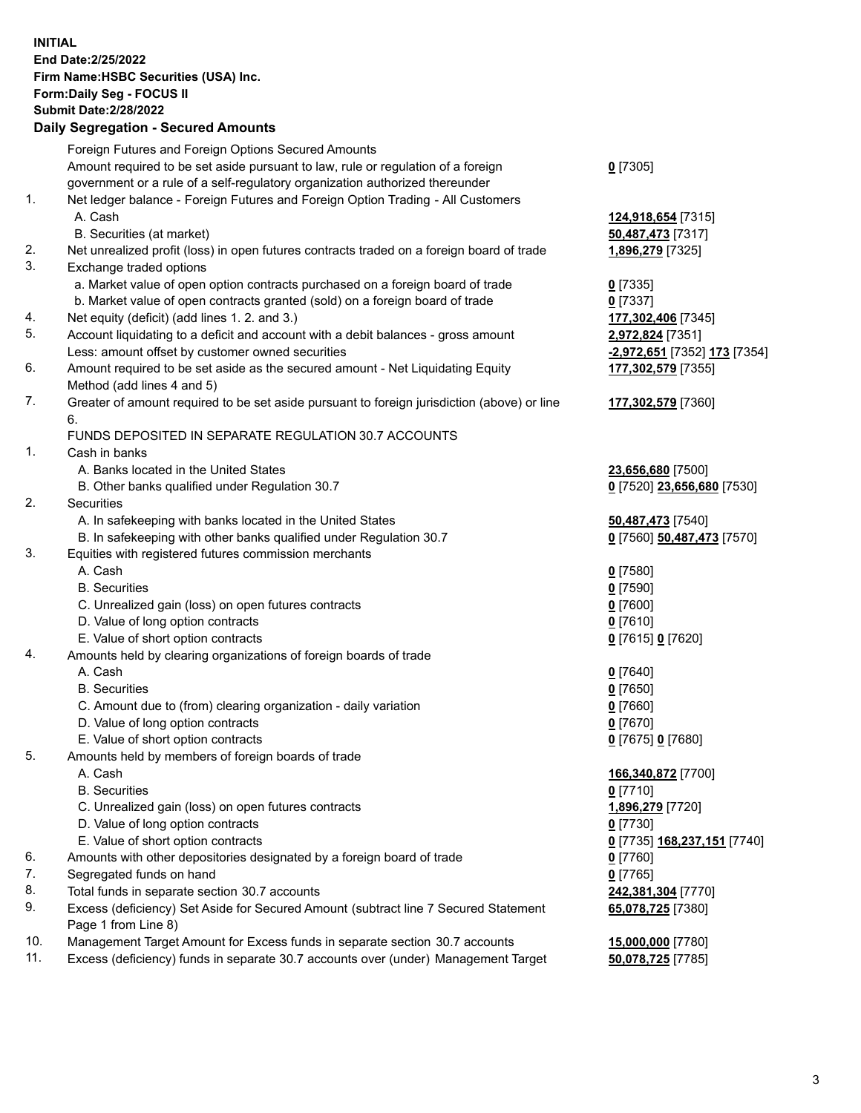**INITIAL End Date:2/25/2022 Firm Name:HSBC Securities (USA) Inc. Form:Daily Seg - FOCUS II Submit Date:2/28/2022 Daily Segregation - Secured Amounts** Foreign Futures and Foreign Options Secured Amounts Amount required to be set aside pursuant to law, rule or regulation of a foreign government or a rule of a self-regulatory organization authorized thereunder **0** [7305] 1. Net ledger balance - Foreign Futures and Foreign Option Trading - All Customers A. Cash **124,918,654** [7315] B. Securities (at market) **50,487,473** [7317] 2. Net unrealized profit (loss) in open futures contracts traded on a foreign board of trade **1,896,279** [7325] 3. Exchange traded options a. Market value of open option contracts purchased on a foreign board of trade **0** [7335] b. Market value of open contracts granted (sold) on a foreign board of trade **0** [7337] 4. Net equity (deficit) (add lines 1. 2. and 3.) **177,302,406** [7345] 5. Account liquidating to a deficit and account with a debit balances - gross amount **2,972,824** [7351] Less: amount offset by customer owned securities **-2,972,651** [7352] **173** [7354] 6. Amount required to be set aside as the secured amount - Net Liquidating Equity Method (add lines 4 and 5) **177,302,579** [7355] 7. Greater of amount required to be set aside pursuant to foreign jurisdiction (above) or line 6. **177,302,579** [7360] FUNDS DEPOSITED IN SEPARATE REGULATION 30.7 ACCOUNTS 1. Cash in banks A. Banks located in the United States **23,656,680** [7500] B. Other banks qualified under Regulation 30.7 **0** [7520] **23,656,680** [7530] 2. Securities A. In safekeeping with banks located in the United States **50,487,473** [7540] B. In safekeeping with other banks qualified under Regulation 30.7 **0** [7560] **50,487,473** [7570] 3. Equities with registered futures commission merchants A. Cash **0** [7580] B. Securities **0** [7590] C. Unrealized gain (loss) on open futures contracts **0** [7600] D. Value of long option contracts **0** [7610] E. Value of short option contracts **0** [7615] **0** [7620] 4. Amounts held by clearing organizations of foreign boards of trade A. Cash **0** [7640] B. Securities **0** [7650] C. Amount due to (from) clearing organization - daily variation **0** [7660] D. Value of long option contracts **0** [7670] E. Value of short option contracts **0** [7675] **0** [7680] 5. Amounts held by members of foreign boards of trade A. Cash **166,340,872** [7700] B. Securities **0** [7710] C. Unrealized gain (loss) on open futures contracts **1,896,279** [7720] D. Value of long option contracts **0** [7730] E. Value of short option contracts **0** [7735] **168,237,151** [7740] 6. Amounts with other depositories designated by a foreign board of trade **0** [7760] 7. Segregated funds on hand **0** [7765]

- 8. Total funds in separate section 30.7 accounts **242,381,304** [7770]
- 9. Excess (deficiency) Set Aside for Secured Amount (subtract line 7 Secured Statement Page 1 from Line 8)
- 10. Management Target Amount for Excess funds in separate section 30.7 accounts **15,000,000** [7780]
- 11. Excess (deficiency) funds in separate 30.7 accounts over (under) Management Target **50,078,725** [7785]

**65,078,725** [7380]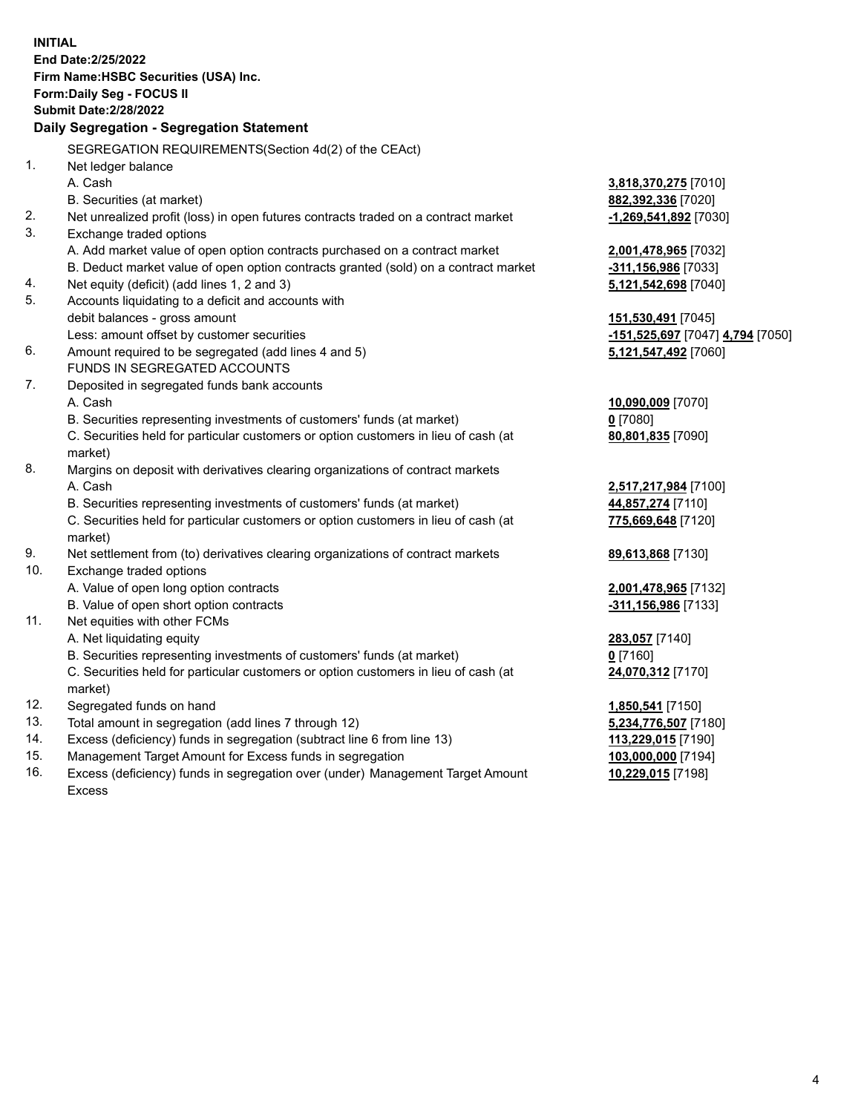**INITIAL End Date:2/25/2022 Firm Name:HSBC Securities (USA) Inc. Form:Daily Seg - FOCUS II Submit Date:2/28/2022 Daily Segregation - Segregation Statement** SEGREGATION REQUIREMENTS(Section 4d(2) of the CEAct) 1. Net ledger balance A. Cash **3,818,370,275** [7010] B. Securities (at market) **882,392,336** [7020] 2. Net unrealized profit (loss) in open futures contracts traded on a contract market **-1,269,541,892** [7030] 3. Exchange traded options A. Add market value of open option contracts purchased on a contract market **2,001,478,965** [7032] B. Deduct market value of open option contracts granted (sold) on a contract market **-311,156,986** [7033] 4. Net equity (deficit) (add lines 1, 2 and 3) **5,121,542,698** [7040] 5. Accounts liquidating to a deficit and accounts with debit balances - gross amount **151,530,491** [7045] Less: amount offset by customer securities **-151,525,697** [7047] **4,794** [7050] 6. Amount required to be segregated (add lines 4 and 5) **5,121,547,492** [7060] FUNDS IN SEGREGATED ACCOUNTS 7. Deposited in segregated funds bank accounts A. Cash **10,090,009** [7070] B. Securities representing investments of customers' funds (at market) **0** [7080] C. Securities held for particular customers or option customers in lieu of cash (at market) **80,801,835** [7090] 8. Margins on deposit with derivatives clearing organizations of contract markets A. Cash **2,517,217,984** [7100] B. Securities representing investments of customers' funds (at market) **44,857,274** [7110] C. Securities held for particular customers or option customers in lieu of cash (at market) **775,669,648** [7120] 9. Net settlement from (to) derivatives clearing organizations of contract markets **89,613,868** [7130] 10. Exchange traded options A. Value of open long option contracts **2,001,478,965** [7132] B. Value of open short option contracts **-311,156,986** [7133] 11. Net equities with other FCMs A. Net liquidating equity **283,057** [7140] B. Securities representing investments of customers' funds (at market) **0** [7160] C. Securities held for particular customers or option customers in lieu of cash (at market) **24,070,312** [7170] 12. Segregated funds on hand **1,850,541** [7150] 13. Total amount in segregation (add lines 7 through 12) **5,234,776,507** [7180] 14. Excess (deficiency) funds in segregation (subtract line 6 from line 13) **113,229,015** [7190] 15. Management Target Amount for Excess funds in segregation **103,000,000** [7194] 16. Excess (deficiency) funds in segregation over (under) Management Target Amount **10,229,015** [7198]

Excess